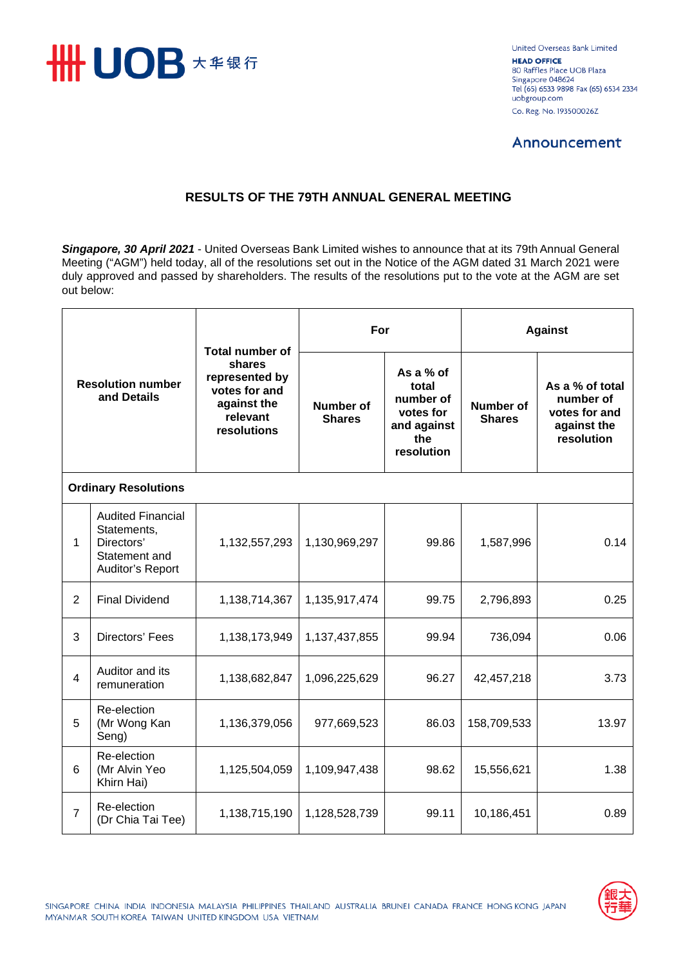

United Overseas Bank Limited **HEAD OFFICE** 80 Raffles Place UOB Plaza Singapore 048624 Tel (65) 6533 9898 Fax (65) 6534 2334 uobgroup.com Co. Reg. No. 193500026Z

## **Announcement**

## **RESULTS OF THE 79TH ANNUAL GENERAL MEETING**

*Singapore, 30 April 2021* - United Overseas Bank Limited wishes to announce that at its 79th Annual General Meeting ("AGM") held today, all of the resolutions set out in the Notice of the AGM dated 31 March 2021 were duly approved and passed by shareholders. The results of the resolutions put to the vote at the AGM are set out below:

| <b>Resolution number</b><br>and Details |                                                                                            | <b>Total number of</b><br>shares<br>represented by<br>votes for and<br>against the<br>relevant<br>resolutions | For                               |                                                                                  | <b>Against</b>                    |                                                                            |  |  |  |  |
|-----------------------------------------|--------------------------------------------------------------------------------------------|---------------------------------------------------------------------------------------------------------------|-----------------------------------|----------------------------------------------------------------------------------|-----------------------------------|----------------------------------------------------------------------------|--|--|--|--|
|                                         |                                                                                            |                                                                                                               | <b>Number of</b><br><b>Shares</b> | As a % of<br>total<br>number of<br>votes for<br>and against<br>the<br>resolution | <b>Number of</b><br><b>Shares</b> | As a % of total<br>number of<br>votes for and<br>against the<br>resolution |  |  |  |  |
| <b>Ordinary Resolutions</b>             |                                                                                            |                                                                                                               |                                   |                                                                                  |                                   |                                                                            |  |  |  |  |
| 1                                       | <b>Audited Financial</b><br>Statements,<br>Directors'<br>Statement and<br>Auditor's Report | 1,132,557,293                                                                                                 | 1,130,969,297                     | 99.86                                                                            | 1,587,996                         | 0.14                                                                       |  |  |  |  |
| $\overline{2}$                          | <b>Final Dividend</b>                                                                      | 1,138,714,367                                                                                                 | 1,135,917,474                     | 99.75                                                                            | 2,796,893                         | 0.25                                                                       |  |  |  |  |
| 3                                       | Directors' Fees                                                                            | 1,138,173,949                                                                                                 | 1,137,437,855                     | 99.94                                                                            | 736,094                           | 0.06                                                                       |  |  |  |  |
| 4                                       | Auditor and its<br>remuneration                                                            | 1,138,682,847                                                                                                 | 1,096,225,629                     | 96.27                                                                            | 42,457,218                        | 3.73                                                                       |  |  |  |  |
| 5                                       | Re-election<br>(Mr Wong Kan<br>Seng)                                                       | 1,136,379,056                                                                                                 | 977,669,523                       | 86.03                                                                            | 158,709,533                       | 13.97                                                                      |  |  |  |  |
| 6                                       | Re-election<br>(Mr Alvin Yeo<br>Khirn Hai)                                                 | 1,125,504,059                                                                                                 | 1,109,947,438                     | 98.62                                                                            | 15,556,621                        | 1.38                                                                       |  |  |  |  |
| $\overline{7}$                          | Re-election<br>(Dr Chia Tai Tee)                                                           | 1,138,715,190                                                                                                 | 1,128,528,739                     | 99.11                                                                            | 10,186,451                        | 0.89                                                                       |  |  |  |  |